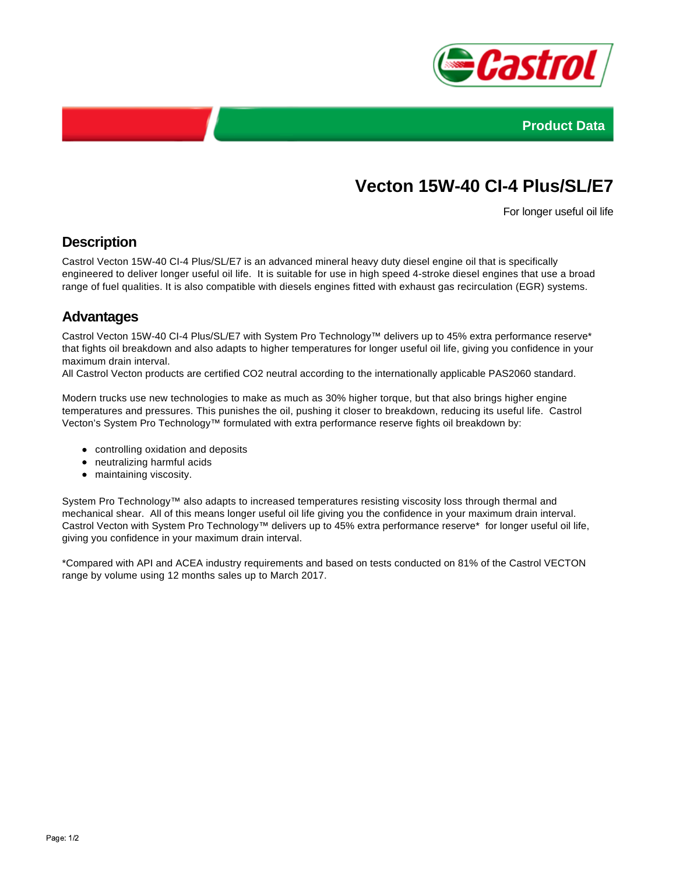



# **Vecton 15W-40 CI-4 Plus/SL/E7**

For longer useful oil life

#### **Description**

Castrol Vecton 15W-40 CI-4 Plus/SL/E7 is an advanced mineral heavy duty diesel engine oil that is specifically engineered to deliver longer useful oil life. It is suitable for use in high speed 4-stroke diesel engines that use a broad range of fuel qualities. It is also compatible with diesels engines fitted with exhaust gas recirculation (EGR) systems.

## **Advantages**

Castrol Vecton 15W-40 CI-4 Plus/SL/E7 with System Pro Technology™ delivers up to 45% extra performance reserve\* that fights oil breakdown and also adapts to higher temperatures for longer useful oil life, giving you confidence in your maximum drain interval.

All Castrol Vecton products are certified CO2 neutral according to the internationally applicable PAS2060 standard.

Modern trucks use new technologies to make as much as 30% higher torque, but that also brings higher engine temperatures and pressures. This punishes the oil, pushing it closer to breakdown, reducing its useful life. Castrol Vecton's System Pro Technology™ formulated with extra performance reserve fights oil breakdown by:

- controlling oxidation and deposits
- neutralizing harmful acids
- maintaining viscosity.

System Pro Technology™ also adapts to increased temperatures resisting viscosity loss through thermal and mechanical shear. All of this means longer useful oil life giving you the confidence in your maximum drain interval. Castrol Vecton with System Pro Technology™ delivers up to 45% extra performance reserve\* for longer useful oil life, giving you confidence in your maximum drain interval.

\*Compared with API and ACEA industry requirements and based on tests conducted on 81% of the Castrol VECTON range by volume using 12 months sales up to March 2017.